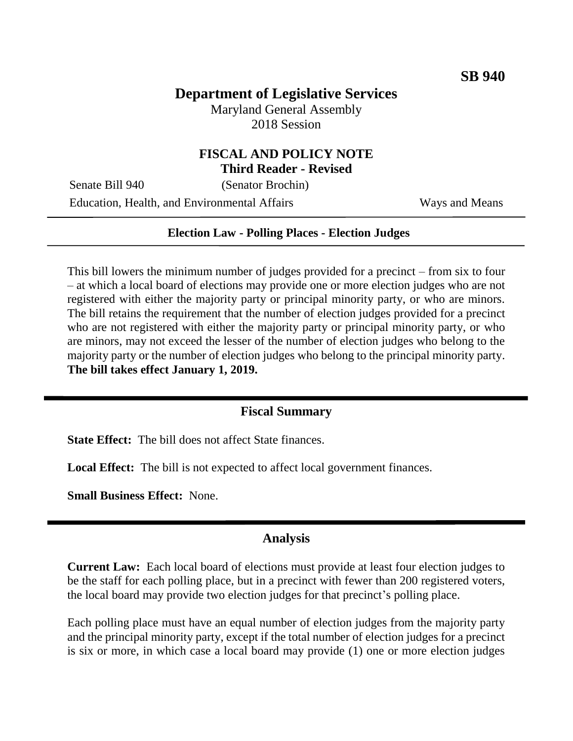# **Department of Legislative Services**

Maryland General Assembly 2018 Session

### **FISCAL AND POLICY NOTE Third Reader - Revised**

Senate Bill 940 (Senator Brochin) Education, Health, and Environmental Affairs Ways and Means

#### **Election Law - Polling Places - Election Judges**

This bill lowers the minimum number of judges provided for a precinct – from six to four – at which a local board of elections may provide one or more election judges who are not registered with either the majority party or principal minority party, or who are minors. The bill retains the requirement that the number of election judges provided for a precinct who are not registered with either the majority party or principal minority party, or who are minors, may not exceed the lesser of the number of election judges who belong to the majority party or the number of election judges who belong to the principal minority party. **The bill takes effect January 1, 2019.**

## **Fiscal Summary**

**State Effect:** The bill does not affect State finances.

**Local Effect:** The bill is not expected to affect local government finances.

**Small Business Effect:** None.

#### **Analysis**

**Current Law:** Each local board of elections must provide at least four election judges to be the staff for each polling place, but in a precinct with fewer than 200 registered voters, the local board may provide two election judges for that precinct's polling place.

Each polling place must have an equal number of election judges from the majority party and the principal minority party, except if the total number of election judges for a precinct is six or more, in which case a local board may provide (1) one or more election judges